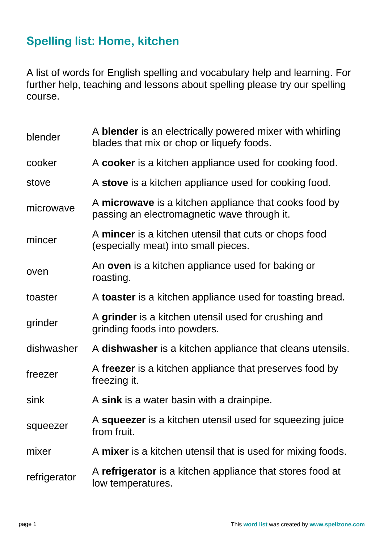## **Spelling list: Home, kitchen**

A list of words for English spelling and vocabulary help and learning. For further help, teaching and lessons about spelling please try our spelling course.

| blender      | A <b>blender</b> is an electrically powered mixer with whirling<br>blades that mix or chop or liquefy foods. |
|--------------|--------------------------------------------------------------------------------------------------------------|
| cooker       | A cooker is a kitchen appliance used for cooking food.                                                       |
| stove        | A stove is a kitchen appliance used for cooking food.                                                        |
| microwave    | A microwave is a kitchen appliance that cooks food by<br>passing an electromagnetic wave through it.         |
| mincer       | A mincer is a kitchen utensil that cuts or chops food<br>(especially meat) into small pieces.                |
| oven         | An <b>oven</b> is a kitchen appliance used for baking or<br>roasting.                                        |
| toaster      | A toaster is a kitchen appliance used for toasting bread.                                                    |
| grinder      | A grinder is a kitchen utensil used for crushing and<br>grinding foods into powders.                         |
| dishwasher   | A dishwasher is a kitchen appliance that cleans utensils.                                                    |
| freezer      | A freezer is a kitchen appliance that preserves food by<br>freezing it.                                      |
| sink         | A sink is a water basin with a drainpipe.                                                                    |
| squeezer     | A squeezer is a kitchen utensil used for squeezing juice<br>from fruit.                                      |
| mixer        | A mixer is a kitchen utensil that is used for mixing foods.                                                  |
| refrigerator | A refrigerator is a kitchen appliance that stores food at<br>low temperatures.                               |